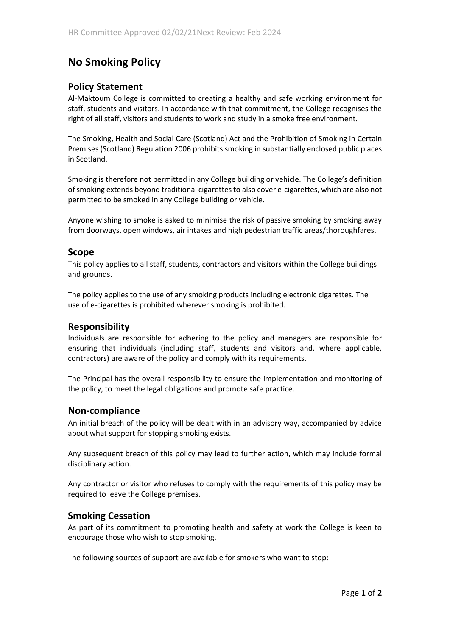# **No Smoking Policy**

## **Policy Statement**

Al-Maktoum College is committed to creating a healthy and safe working environment for staff, students and visitors. In accordance with that commitment, the College recognises the right of all staff, visitors and students to work and study in a smoke free environment.

The Smoking, Health and Social Care (Scotland) Act and the Prohibition of Smoking in Certain Premises (Scotland) Regulation 2006 prohibits smoking in substantially enclosed public places in Scotland.

Smoking is therefore not permitted in any College building or vehicle. The College's definition of smoking extends beyond traditional cigarettes to also cover e-cigarettes, which are also not permitted to be smoked in any College building or vehicle.

Anyone wishing to smoke is asked to minimise the risk of passive smoking by smoking away from doorways, open windows, air intakes and high pedestrian traffic areas/thoroughfares.

#### **Scope**

This policy applies to all staff, students, contractors and visitors within the College buildings and grounds.

The policy applies to the use of any smoking products including electronic cigarettes. The use of e-cigarettes is prohibited wherever smoking is prohibited.

### **Responsibility**

Individuals are responsible for adhering to the policy and managers are responsible for ensuring that individuals (including staff, students and visitors and, where applicable, contractors) are aware of the policy and comply with its requirements.

The Principal has the overall responsibility to ensure the implementation and monitoring of the policy, to meet the legal obligations and promote safe practice.

#### **Non-compliance**

An initial breach of the policy will be dealt with in an advisory way, accompanied by advice about what support for stopping smoking exists.

Any subsequent breach of this policy may lead to further action, which may include formal disciplinary action.

Any contractor or visitor who refuses to comply with the requirements of this policy may be required to leave the College premises.

### **Smoking Cessation**

As part of its commitment to promoting health and safety at work the College is keen to encourage those who wish to stop smoking.

The following sources of support are available for smokers who want to stop: